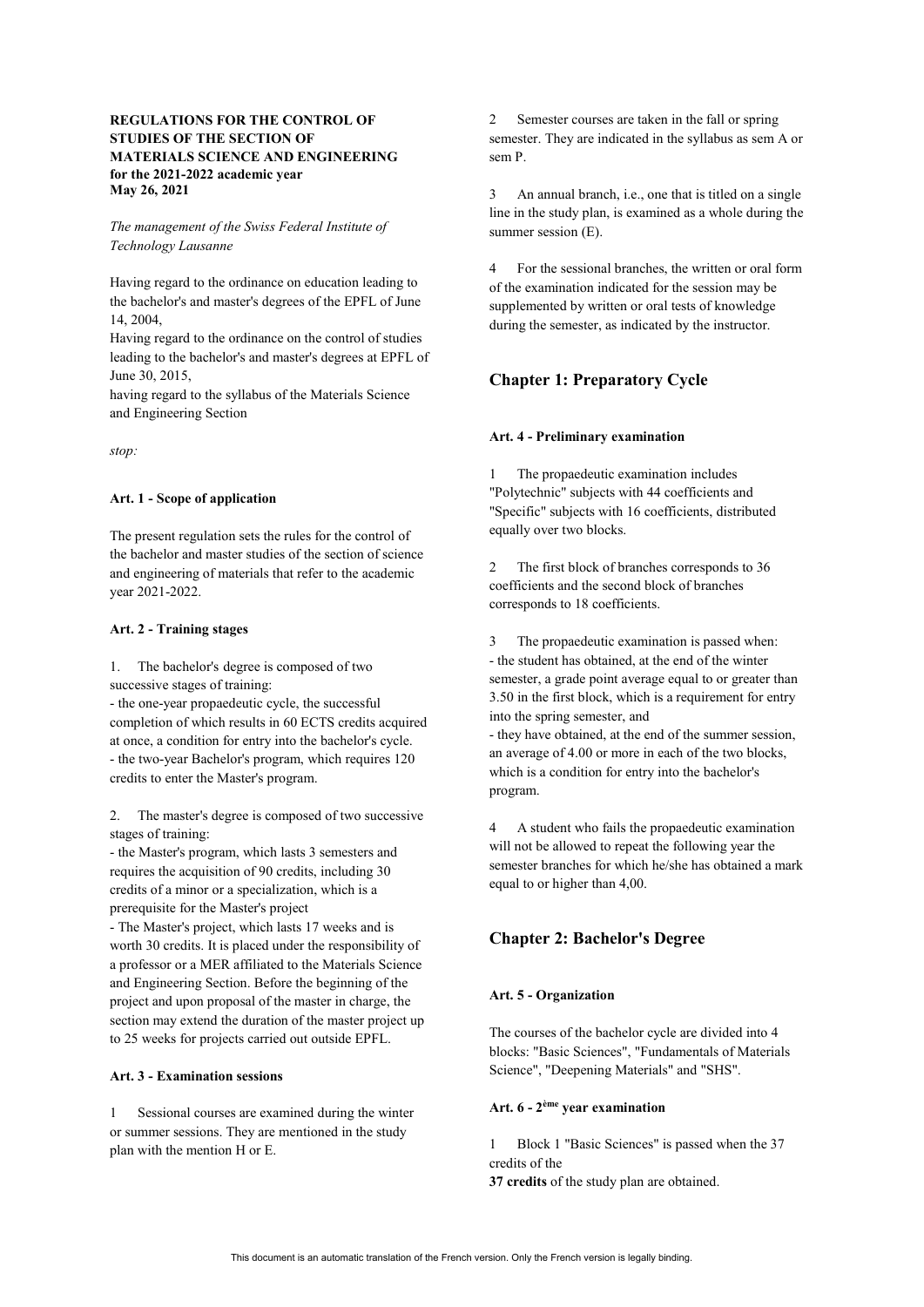# **REGULATIONS FOR THE CONTROL OF STUDIES OF THE SECTION OF MATERIALS SCIENCE AND ENGINEERING for the 2021-2022 academic year May 26, 2021**

### *The management of the Swiss Federal Institute of Technology Lausanne*

Having regard to the ordinance on education leading to the bachelor's and master's degrees of the EPFL of June 14, 2004,

Having regard to the ordinance on the control of studies leading to the bachelor's and master's degrees at EPFL of June 30, 2015,

having regard to the syllabus of the Materials Science and Engineering Section

*stop:*

#### **Art. 1 - Scope of application**

The present regulation sets the rules for the control of the bachelor and master studies of the section of science and engineering of materials that refer to the academic year 2021-2022.

### **Art. 2 - Training stages**

1. The bachelor's degree is composed of two successive stages of training:

- the one-year propaedeutic cycle, the successful completion of which results in 60 ECTS credits acquired at once, a condition for entry into the bachelor's cycle. - the two-year Bachelor's program, which requires 120 credits to enter the Master's program.

2. The master's degree is composed of two successive stages of training:

- the Master's program, which lasts 3 semesters and requires the acquisition of 90 credits, including 30 credits of a minor or a specialization, which is a prerequisite for the Master's project

- The Master's project, which lasts 17 weeks and is worth 30 credits. It is placed under the responsibility of a professor or a MER affiliated to the Materials Science and Engineering Section. Before the beginning of the project and upon proposal of the master in charge, the section may extend the duration of the master project up to 25 weeks for projects carried out outside EPFL.

### **Art. 3 - Examination sessions**

1 Sessional courses are examined during the winter or summer sessions. They are mentioned in the study plan with the mention H or E.

2 Semester courses are taken in the fall or spring semester. They are indicated in the syllabus as sem A or sem P.

3 An annual branch, i.e., one that is titled on a single line in the study plan, is examined as a whole during the summer session (E).

4 For the sessional branches, the written or oral form of the examination indicated for the session may be supplemented by written or oral tests of knowledge during the semester, as indicated by the instructor.

# **Chapter 1: Preparatory Cycle**

### **Art. 4 - Preliminary examination**

1 The propaedeutic examination includes "Polytechnic" subjects with 44 coefficients and "Specific" subjects with 16 coefficients, distributed equally over two blocks.

2 The first block of branches corresponds to 36 coefficients and the second block of branches corresponds to 18 coefficients.

3 The propaedeutic examination is passed when: - the student has obtained, at the end of the winter semester, a grade point average equal to or greater than 3.50 in the first block, which is a requirement for entry into the spring semester, and - they have obtained, at the end of the summer session, an average of 4.00 or more in each of the two blocks, which is a condition for entry into the bachelor's

program.

4 A student who fails the propaedeutic examination will not be allowed to repeat the following year the semester branches for which he/she has obtained a mark equal to or higher than 4,00.

# **Chapter 2: Bachelor's Degree**

# **Art. 5 - Organization**

The courses of the bachelor cycle are divided into 4 blocks: "Basic Sciences", "Fundamentals of Materials Science", "Deepening Materials" and "SHS".

# **Art. 6 - 2ème year examination**

1 Block 1 "Basic Sciences" is passed when the 37 credits of the **37 credits** of the study plan are obtained.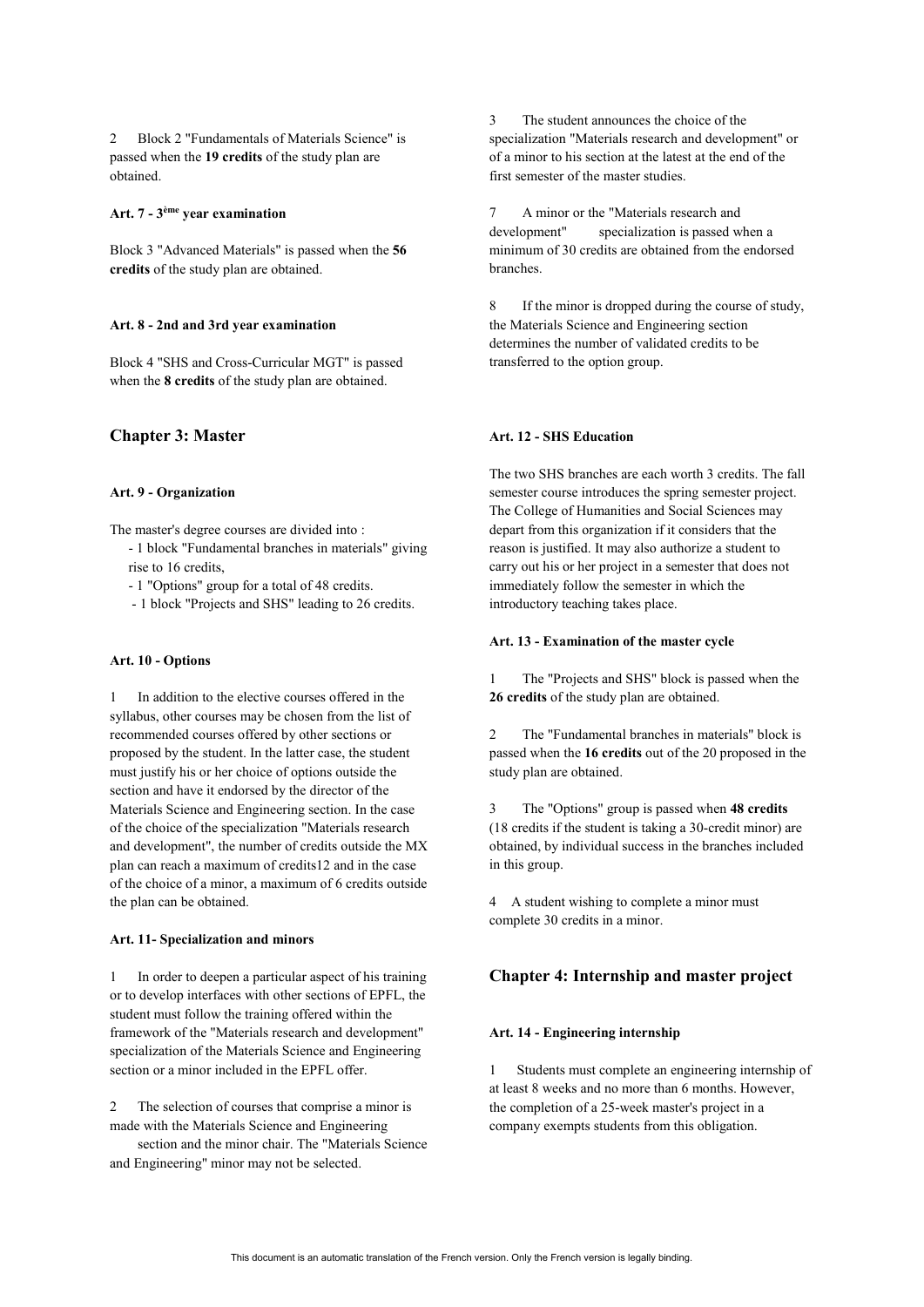2 Block 2 "Fundamentals of Materials Science" is passed when the **19 credits** of the study plan are obtained.

# **Art. 7 - 3ème year examination**

Block 3 "Advanced Materials" is passed when the **56 credits** of the study plan are obtained.

#### **Art. 8 - 2nd and 3rd year examination**

Block 4 "SHS and Cross-Curricular MGT" is passed when the **8 credits** of the study plan are obtained.

### **Chapter 3: Master**

#### **Art. 9 - Organization**

The master's degree courses are divided into :

- 1 block "Fundamental branches in materials" giving rise to 16 credits,
- 1 "Options" group for a total of 48 credits.
- 1 block "Projects and SHS" leading to 26 credits.

#### **Art. 10 - Options**

1 In addition to the elective courses offered in the syllabus, other courses may be chosen from the list of recommended courses offered by other sections or proposed by the student. In the latter case, the student must justify his or her choice of options outside the section and have it endorsed by the director of the Materials Science and Engineering section. In the case of the choice of the specialization "Materials research and development", the number of credits outside the MX plan can reach a maximum of credits12 and in the case of the choice of a minor, a maximum of 6 credits outside the plan can be obtained.

#### **Art. 11- Specialization and minors**

1 In order to deepen a particular aspect of his training or to develop interfaces with other sections of EPFL, the student must follow the training offered within the framework of the "Materials research and development" specialization of the Materials Science and Engineering section or a minor included in the EPFL offer.

The selection of courses that comprise a minor is made with the Materials Science and Engineering

section and the minor chair. The "Materials Science and Engineering" minor may not be selected.

3 The student announces the choice of the specialization "Materials research and development" or of a minor to his section at the latest at the end of the first semester of the master studies.

7 A minor or the "Materials research and development" specialization is passed when a minimum of 30 credits are obtained from the endorsed branches.

8 If the minor is dropped during the course of study, the Materials Science and Engineering section determines the number of validated credits to be transferred to the option group.

#### **Art. 12 - SHS Education**

The two SHS branches are each worth 3 credits. The fall semester course introduces the spring semester project. The College of Humanities and Social Sciences may depart from this organization if it considers that the reason is justified. It may also authorize a student to carry out his or her project in a semester that does not immediately follow the semester in which the introductory teaching takes place.

#### **Art. 13 - Examination of the master cycle**

1 The "Projects and SHS" block is passed when the **26 credits** of the study plan are obtained.

2 The "Fundamental branches in materials" block is passed when the **16 credits** out of the 20 proposed in the study plan are obtained.

3 The "Options" group is passed when **48 credits**  (18 credits if the student is taking a 30-credit minor) are obtained, by individual success in the branches included in this group.

4 A student wishing to complete a minor must complete 30 credits in a minor.

# **Chapter 4: Internship and master project**

#### **Art. 14 - Engineering internship**

1 Students must complete an engineering internship of at least 8 weeks and no more than 6 months. However, the completion of a 25-week master's project in a company exempts students from this obligation.